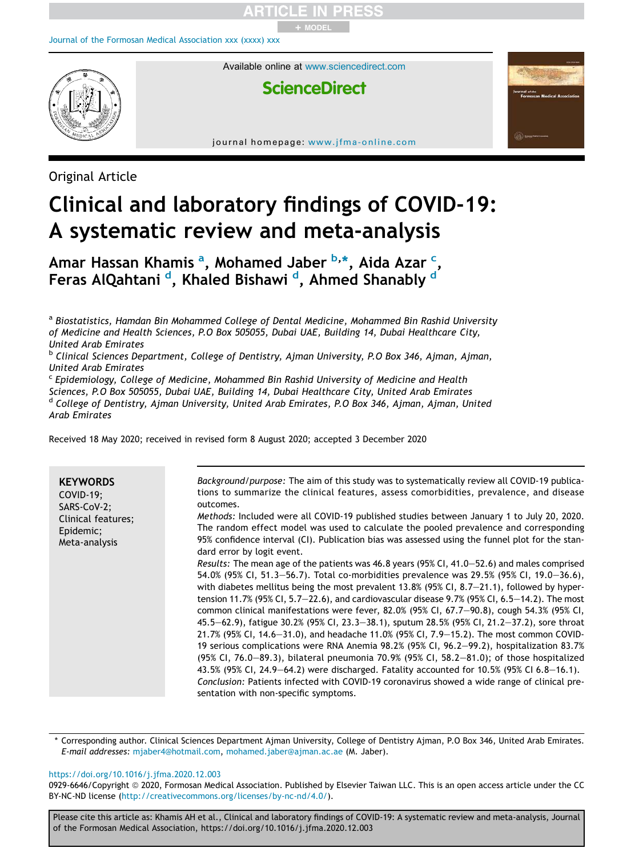# + MODEL

#### Journal of the Formosan Medical Association xxx (xxxx) xxx



Available online at www.sciencedirect.com

## **ScienceDirect**

journal homepage: www.jfma-online.com

Original Article

## Clinical and laboratory findings of COVID-19: A systematic review and meta-analysis

Amar Hassan Khamis <sup>a</sup>, Mohamed Jaber <sup>b,\*</sup>, Aida Azar <sup>c</sup>, Feras AlQahtani <sup>d</sup>, Khaled Bishawi <sup>d</sup>, Ahmed Shanably <sup>d</sup>

<sup>a</sup> Biostatistics, Hamdan Bin Mohammed College of Dental Medicine, Mohammed Bin Rashid University *of Medicine and Health Sciences, P.O Box 505055, Dubai UAE, Building 14, Dubai Healthcare City, United Arab Emirates*

b *Clinical Sciences Department, College of Dentistry, Ajman University, P.O Box 346, Ajman, Ajman, United Arab Emirates*

c *Epidemiology, College of Medicine, Mohammed Bin Rashid University of Medicine and Health Sciences, P.O Box 505055, Dubai UAE, Building 14, Dubai Healthcare City, United Arab Emirates* d *College of Dentistry, Ajman University, United Arab Emirates, P.O Box 346, Ajman, Ajman, United Arab Emirates*

Received 18 May 2020; received in revised form 8 August 2020; accepted 3 December 2020

\* Corresponding author. Clinical Sciences Department Ajman University, College of Dentistry Ajman, P.O Box 346, United Arab Emirates. *E-mail addresses:* mjaber4@hotmail.com, mohamed.jaber@ajman.ac.ae (M. Jaber).

#### https://doi.org/10.1016/j.jfma.2020.12.003

0929-6646/Copyright © 2020, Formosan Medical Association. Published by Elsevier Taiwan LLC. This is an open access article under the CC BY-NC-ND license (http://creativecommons.org/licenses/by-nc-nd/4.0/).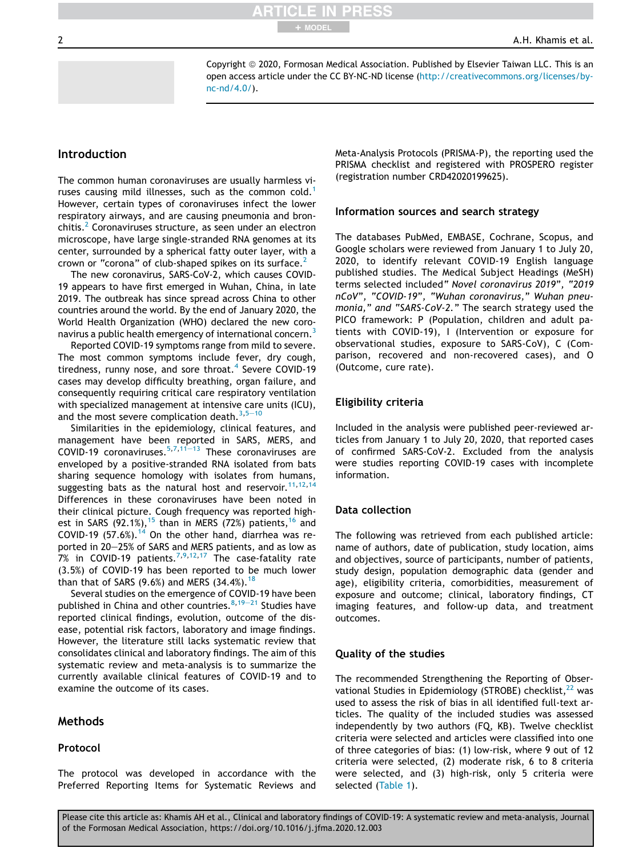Copyright © 2020, Formosan Medical Association. Published by Elsevier Taiwan LLC. This is an open access article under the CC BY-NC-ND license (http://creativecommons.org/licenses/bync-nd/4.0/).

+ MODEL

### Introduction

The common human coronaviruses are usually harmless viruses causing mild illnesses, such as the common cold.<sup>1</sup> However, certain types of coronaviruses infect the lower respiratory airways, and are causing pneumonia and bronchitis.<sup>2</sup> Coronaviruses structure, as seen under an electron microscope, have large single-stranded RNA genomes at its center, surrounded by a spherical fatty outer layer, with a crown or "corona" of club-shaped spikes on its surface.<sup>2</sup>

The new coronavirus, SARS-CoV-2, which causes COVID-19 appears to have first emerged in Wuhan, China, in late 2019. The outbreak has since spread across China to other countries around the world. By the end of January 2020, the World Health Organization (WHO) declared the new coronavirus a public health emergency of international concern.<sup>3</sup>

Reported COVID-19 symptoms range from mild to severe. The most common symptoms include fever, dry cough, tiredness, runny nose, and sore throat.<sup>4</sup> Severe COVID-19 cases may develop difficulty breathing, organ failure, and consequently requiring critical care respiratory ventilation with specialized management at intensive care units (ICU), and the most severe complication death. $3,5-10$ 

Similarities in the epidemiology, clinical features, and management have been reported in SARS, MERS, and COVID-19 coronaviruses. $5,7,11-13$  These coronaviruses are enveloped by a positive-stranded RNA isolated from bats sharing sequence homology with isolates from humans, suggesting bats as the natural host and reservoir.  $11,12,14$ Differences in these coronaviruses have been noted in their clinical picture. Cough frequency was reported highest in SARS (92.1%),<sup>15</sup> than in MERS (72%) patients,<sup>16</sup> and COVID-19 (57.6%).<sup>14</sup> On the other hand, diarrhea was reported in 20-25% of SARS and MERS patients, and as low as 7% in COVID-19 patients.<sup>7,9,12,17</sup> The case-fatality rate (3.5%) of COVID-19 has been reported to be much lower than that of SARS (9.6%) and MERS (34.4%).<sup>18</sup>

Several studies on the emergence of COVID-19 have been published in China and other countries.  $8,19-21$  Studies have reported clinical findings, evolution, outcome of the disease, potential risk factors, laboratory and image findings. However, the literature still lacks systematic review that consolidates clinical and laboratory findings. The aim of this systematic review and meta-analysis is to summarize the currently available clinical features of COVID-19 and to examine the outcome of its cases.

#### Methods

#### Protocol

The protocol was developed in accordance with the Preferred Reporting Items for Systematic Reviews and Meta-Analysis Protocols (PRISMA-P), the reporting used the PRISMA checklist and registered with PROSPERO register (registration number CRD42020199625).

#### Information sources and search strategy

The databases PubMed, EMBASE, Cochrane, Scopus, and Google scholars were reviewed from January 1 to July 20, 2020, to identify relevant COVID-19 English language published studies. The Medical Subject Headings (MeSH) terms selected included*" Novel coronavirus 2019", "2019 nCoV", "COVID-19", "Wuhan coronavirus," Wuhan pneumonia," and "SARS-CoV-2."* The search strategy used the PICO framework: P (Population, children and adult patients with COVID-19), I (Intervention or exposure for observational studies, exposure to SARS-CoV), C (Comparison, recovered and non-recovered cases), and O (Outcome, cure rate).

#### Eligibility criteria

Included in the analysis were published peer-reviewed articles from January 1 to July 20, 2020, that reported cases of confirmed SARS-CoV-2. Excluded from the analysis were studies reporting COVID-19 cases with incomplete information.

#### Data collection

The following was retrieved from each published article: name of authors, date of publication, study location, aims and objectives, source of participants, number of patients, study design, population demographic data (gender and age), eligibility criteria, comorbidities, measurement of exposure and outcome; clinical, laboratory findings, CT imaging features, and follow-up data, and treatment outcomes.

#### Quality of the studies

The recommended Strengthening the Reporting of Observational Studies in Epidemiology (STROBE) checklist,<sup>22</sup> was used to assess the risk of bias in all identified full-text articles. The quality of the included studies was assessed independently by two authors (FQ, KB). Twelve checklist criteria were selected and articles were classified into one of three categories of bias: (1) low-risk, where 9 out of 12 criteria were selected, (2) moderate risk, 6 to 8 criteria were selected, and (3) high-risk, only 5 criteria were selected (Table 1).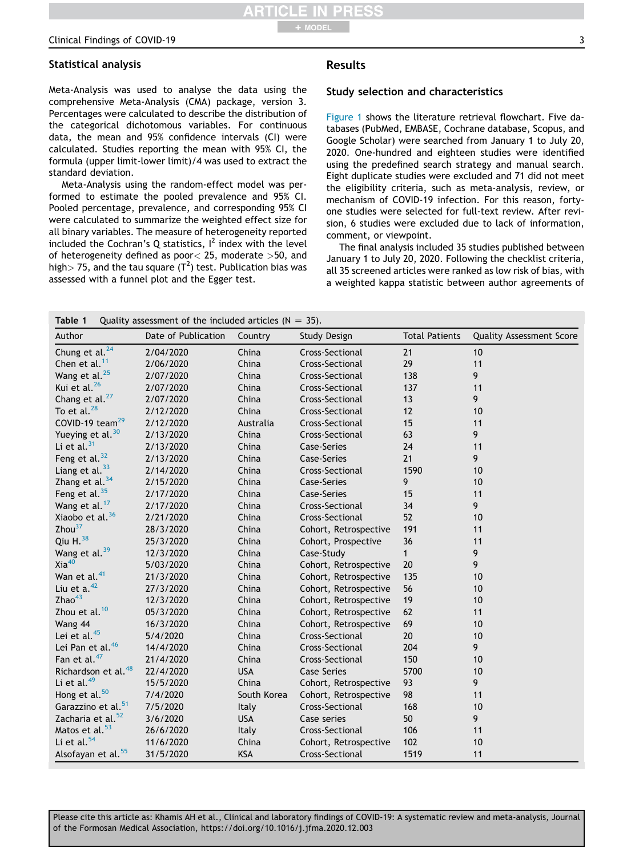### Statistical analysis

Meta-Analysis was used to analyse the data using the comprehensive Meta-Analysis (CMA) package, version 3. Percentages were calculated to describe the distribution of the categorical dichotomous variables. For continuous data, the mean and 95% confidence intervals (CI) were calculated. Studies reporting the mean with 95% CI, the formula (upper limit-lower limit)/4 was used to extract the standard deviation.

Meta-Analysis using the random-effect model was performed to estimate the pooled prevalence and 95% CI. Pooled percentage, prevalence, and corresponding 95% CI were calculated to summarize the weighted effect size for all binary variables. The measure of heterogeneity reported included the Cochran's Q statistics,  $I^2$  index with the level of heterogeneity defined as poor< 25, moderate >50, and high $>$  75, and the tau square (T $^2$ ) test. Publication bias was assessed with a funnel plot and the Egger test.

## Results

#### Study selection and characteristics

Figure 1 shows the literature retrieval flowchart. Five databases (PubMed, EMBASE, Cochrane database, Scopus, and Google Scholar) were searched from January 1 to July 20, 2020. One-hundred and eighteen studies were identified using the predefined search strategy and manual search. Eight duplicate studies were excluded and 71 did not meet the eligibility criteria, such as meta-analysis, review, or mechanism of COVID-19 infection. For this reason, fortyone studies were selected for full-text review. After revision, 6 studies were excluded due to lack of information, comment, or viewpoint.

The final analysis included 35 studies published between January 1 to July 20, 2020. Following the checklist criteria, all 35 screened articles were ranked as low risk of bias, with a weighted kappa statistic between author agreements of

| Table 1                         | Quality assessment of the included articles ( $N = 35$ ). |             |                       |                       |                                 |  |  |  |
|---------------------------------|-----------------------------------------------------------|-------------|-----------------------|-----------------------|---------------------------------|--|--|--|
| Author                          | Date of Publication                                       | Country     | <b>Study Design</b>   | <b>Total Patients</b> | <b>Quality Assessment Score</b> |  |  |  |
| Chung et al. <sup>24</sup>      | 2/04/2020                                                 | China       | Cross-Sectional       | 21                    | 10                              |  |  |  |
| Chen et al. <sup>11</sup>       | 2/06/2020                                                 | China       | Cross-Sectional       | 29                    | 11                              |  |  |  |
| Wang et al. <sup>25</sup>       | 2/07/2020                                                 | China       | Cross-Sectional       | 138                   | 9                               |  |  |  |
| Kui et al. <sup>26</sup>        | 2/07/2020                                                 | China       | Cross-Sectional       | 137                   | 11                              |  |  |  |
| Chang et al. <sup>27</sup>      | 2/07/2020                                                 | China       | Cross-Sectional       | 13                    | 9                               |  |  |  |
| To et al. <sup>28</sup>         | 2/12/2020                                                 | China       | Cross-Sectional       | 12                    | 10                              |  |  |  |
| COVID-19 team <sup>29</sup>     | 2/12/2020                                                 | Australia   | Cross-Sectional       | 15                    | 11                              |  |  |  |
| Yueying et al. <sup>30</sup>    | 2/13/2020                                                 | China       | Cross-Sectional       | 63                    | 9                               |  |  |  |
| Li et al. $31$                  | 2/13/2020                                                 | China       | Case-Series           | 24                    | 11                              |  |  |  |
| Feng et al. <sup>32</sup>       | 2/13/2020                                                 | China       | Case-Series           | 21                    | 9                               |  |  |  |
| Liang et al. <sup>33</sup>      | 2/14/2020                                                 | China       | Cross-Sectional       | 1590                  | 10                              |  |  |  |
| Zhang et al. <sup>34</sup>      | 2/15/2020                                                 | China       | Case-Series           | 9                     | 10                              |  |  |  |
| Feng et al. $35$                | 2/17/2020                                                 | China       | Case-Series           | 15                    | 11                              |  |  |  |
| Wang et al. <sup>17</sup>       | 2/17/2020                                                 | China       | Cross-Sectional       | 34                    | 9                               |  |  |  |
| Xiaobo et al. <sup>36</sup>     | 2/21/2020                                                 | China       | Cross-Sectional       | 52                    | 10                              |  |  |  |
| Zhou <sup>37</sup>              | 28/3/2020                                                 | China       | Cohort, Retrospective | 191                   | 11                              |  |  |  |
| Qiu $H38$                       | 25/3/2020                                                 | China       | Cohort, Prospective   | 36                    | 11                              |  |  |  |
| Wang et al. <sup>39</sup>       | 12/3/2020                                                 | China       | Case-Study            | $\mathbf{1}$          | 9                               |  |  |  |
| Xia <sup>40</sup>               | 5/03/2020                                                 | China       | Cohort, Retrospective | 20                    | 9                               |  |  |  |
| Wan et al. <sup>41</sup>        | 21/3/2020                                                 | China       | Cohort, Retrospective | 135                   | 10                              |  |  |  |
| Liu et $a.^{42}$                | 27/3/2020                                                 | China       | Cohort, Retrospective | 56                    | 10                              |  |  |  |
| Zhao <sup>43</sup>              | 12/3/2020                                                 | China       | Cohort, Retrospective | 19                    | 10                              |  |  |  |
| Zhou et al. <sup>10</sup>       | 05/3/2020                                                 | China       | Cohort, Retrospective | 62                    | 11                              |  |  |  |
| Wang 44                         | 16/3/2020                                                 | China       | Cohort, Retrospective | 69                    | 10                              |  |  |  |
| Lei et al. <sup>45</sup>        | 5/4/2020                                                  | China       | Cross-Sectional       | 20                    | 10                              |  |  |  |
| Lei Pan et al. <sup>46</sup>    | 14/4/2020                                                 | China       | Cross-Sectional       | 204                   | 9                               |  |  |  |
| Fan et al. <sup>47</sup>        | 21/4/2020                                                 | China       | Cross-Sectional       | 150                   | 10                              |  |  |  |
| Richardson et al. <sup>48</sup> | 22/4/2020                                                 | <b>USA</b>  | <b>Case Series</b>    | 5700                  | 10                              |  |  |  |
| Li et al. <sup>49</sup>         | 15/5/2020                                                 | China       | Cohort, Retrospective | 93                    | 9                               |  |  |  |
| Hong et al. <sup>50</sup>       | 7/4/2020                                                  | South Korea | Cohort, Retrospective | 98                    | 11                              |  |  |  |
| Garazzino et al. <sup>51</sup>  | 7/5/2020                                                  | Italy       | Cross-Sectional       | 168                   | 10                              |  |  |  |
| Zacharia et al. <sup>52</sup>   | 3/6/2020                                                  | <b>USA</b>  | Case series           | 50                    | 9                               |  |  |  |
| Matos et al. <sup>53</sup>      | 26/6/2020                                                 | Italy       | Cross-Sectional       | 106                   | 11                              |  |  |  |
| Li et al. <sup>54</sup>         | 11/6/2020                                                 | China       | Cohort, Retrospective | 102                   | 10                              |  |  |  |
| Alsofayan et al. <sup>55</sup>  | 31/5/2020                                                 | <b>KSA</b>  | Cross-Sectional       | 1519                  | 11                              |  |  |  |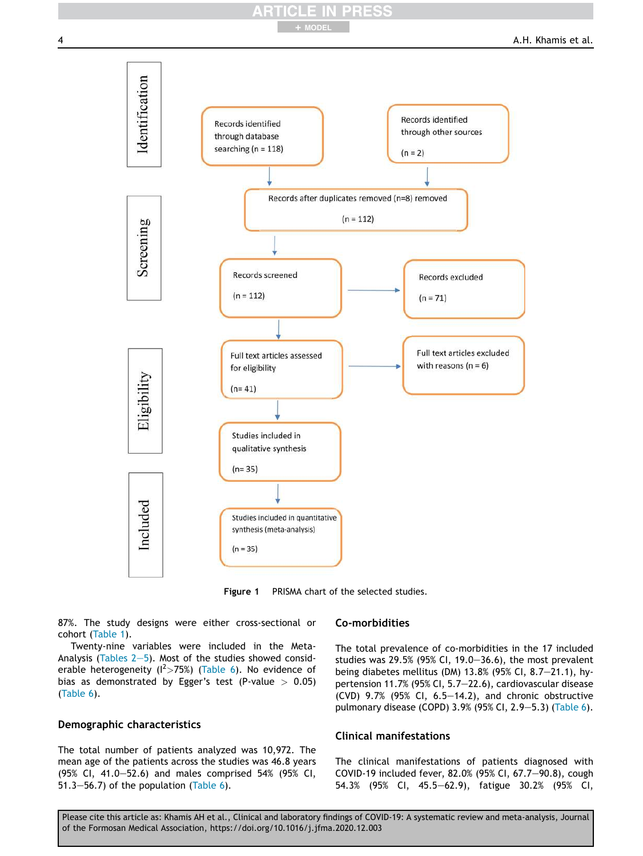## + MODEL



Figure 1 PRISMA chart of the selected studies.

87%. The study designs were either cross-sectional or cohort (Table 1).

Twenty-nine variables were included in the Meta-Analysis (Tables  $2-5$ ). Most of the studies showed considerable heterogeneity ( $I^2 > 75\%$ ) (Table 6). No evidence of bias as demonstrated by Egger's test (P-value  $> 0.05$ ) (Table 6).

#### Demographic characteristics

The total number of patients analyzed was 10,972. The mean age of the patients across the studies was 46.8 years (95% CI, 41.0–52.6) and males comprised 54% (95% CI, 51.3-56.7) of the population (Table 6).

#### Co-morbidities

The total prevalence of co-morbidities in the 17 included studies was 29.5% (95% CI, 19.0-36.6), the most prevalent being diabetes mellitus (DM) 13.8% (95% CI, 8.7-21.1), hypertension 11.7% (95% CI, 5.7-22.6), cardiovascular disease (CVD)  $9.7\%$  ( $95\%$  CI,  $6.5-14.2$ ), and chronic obstructive pulmonary disease (COPD) 3.9% (95% CI, 2.9–5.3) (Table 6).

#### Clinical manifestations

The clinical manifestations of patients diagnosed with COVID-19 included fever, 82.0% (95% CI, 67.7-90.8), cough 54.3% (95% CI, 45.5-62.9), fatigue 30.2% (95% CI,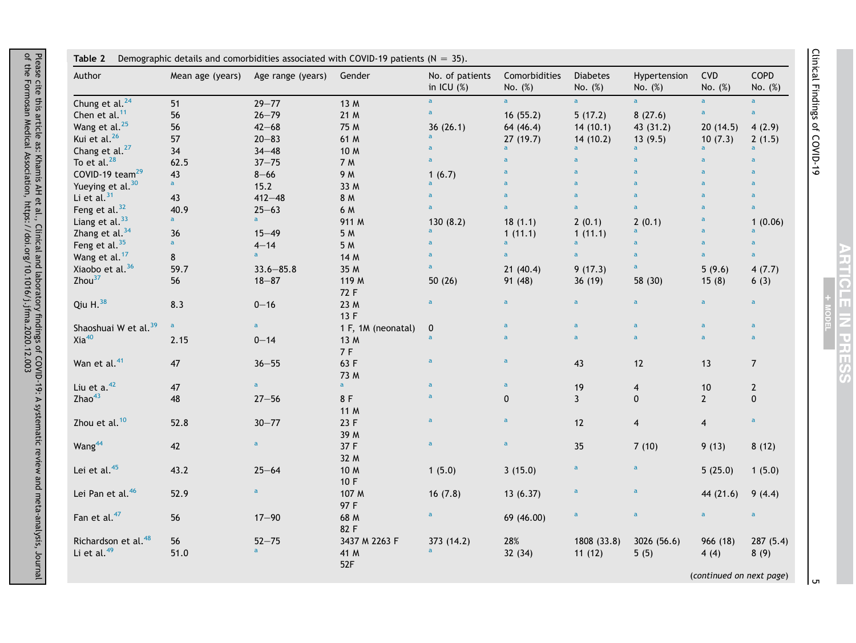| Author                                                     | Mean age (years) | Age range (years)         | Gender                       | No. of patients<br>in ICU $(\%)$ | Comorbidities<br>No. (%) | Diabetes<br>No. (%)   | Hypertension<br>No. (%) | CVD<br>No. (%)   | COPD<br>No. (%)  |
|------------------------------------------------------------|------------------|---------------------------|------------------------------|----------------------------------|--------------------------|-----------------------|-------------------------|------------------|------------------|
| Chung et al. <sup>24</sup>                                 | 51               | $29 - 77$                 | 13 M                         | $\overline{a}$                   | $\overline{a}$           | $\overline{a}$        | $\overline{a}$          | $\overline{a}$   | $\overline{a}$   |
| Chen et al. <sup>11</sup>                                  | 56               | $26 - 79$                 | 21 M                         | $\mathsf a$                      | 16(55.2)                 | 5(17.2)               | 8(27.6)                 | a                | $\overline{a}$   |
| Wang et al. <sup>25</sup>                                  | 56               | $42 - 68$                 | 75 M                         | 36(26.1)                         | 64 (46.4)                | 14(10.1)              | 43(31.2)                | 20(14.5)         | 4(2.9)           |
| Kui et al. <sup>26</sup>                                   | 57               | $20 - 83$                 | 61 M                         | $\overline{a}$                   | 27(19.7)                 | 14(10.2)              | 13(9.5)                 | 10(7.3)          | 2(1.5)           |
| Chang et al. <sup>27</sup>                                 | 34               | $34 - 48$                 | 10 M                         | $\mathbf{a}$                     |                          | a                     | $\mathbf{a}$            | a                | $\overline{a}$   |
| To et al. $^{28}$                                          | 62.5             | $37 - 75$                 | 7 M                          | $\mathbf{a}$                     | $\overline{a}$           | $\mathbf{a}$          | $\mathsf a$             | $\overline{a}$   | $\mathbf{a}$     |
| COVID-19 team <sup>29</sup>                                | 43               | $8 - 66$                  | 9 M                          | 1(6.7)                           | a                        | $\overline{a}$        | $\mathbf a$             | $\overline{a}$   | $\mathbf{a}$     |
| Yueying et al. <sup>30</sup>                               | $\mathbf{a}$     | 15.2                      | 33 M                         | $\overline{a}$                   | ā                        | $\overline{a}$        | $\overline{a}$          | a                | $\overline{a}$   |
| Li et al. $31$                                             | 43               | $412 - 48$                | 8 M                          | $\mathsf{a}$                     | a                        | $\mathbf{a}$          | $\mathsf a$             | a                | $\mathbf{a}$     |
| Feng et al. <sup>32</sup>                                  | 40.9             | $25 - 63$                 | 6 M                          | $\mathbf{a}$                     | $\overline{a}$           | $\overline{a}$        | $\overline{a}$          | $\overline{a}$   | $\mathbf{a}$     |
| Liang et al. <sup>33</sup>                                 | a                | $\mathbf a$               | 911 M                        | 130(8.2)                         | 18(1.1)                  | 2(0.1)                | 2(0.1)                  | a                | 1(0.06)          |
| Zhang et al. $34$                                          | 36               | $15 - 49$                 | 5 M                          | a                                | 1(11.1)                  | 1(11.1)               | $\mathbf{a}$            | a                | $\overline{a}$   |
| Feng et al. $35$                                           | $\mathbf{a}$     | $4 - 14$                  | 5 M                          | $\overline{a}$                   | $\overline{a}$           | $\mathsf{a}$          | $\mathsf a$             | $\mathbf a$      | $\mathbf{a}$     |
| Wang et al. <sup>17</sup>                                  | 8                | $\overline{a}$            | 14 M                         | $\mathbf{a}$                     | $\overline{a}$           | $\mathbf a$           | $\mathbf a$             | $\overline{a}$   | $\mathbf{a}$     |
| Xiaobo et al. <sup>36</sup>                                | 59.7             | $33.6 - 85.8$             | 35 M                         | $\overline{a}$                   | 21(40.4)                 | 9(17.3)               | $\mathsf a$             | 5(9.6)           | 4(7.7)           |
| Zhou $37$                                                  | 56               | $18 - 87$                 | 119 M<br>72 F                | 50(26)                           | 91 (48)                  | 36(19)                | 58 (30)                 | 15(8)            | 6(3)             |
| Qiu $H38$                                                  | 8.3              | $0 - 16$                  | 23 M<br>13 F                 | $\mathbf{a}$                     | $\mathbf{a}$             | $\mathbf{a}$          | $\mathbf a$             | $\mathbf{a}$     | $\mathbf{a}$     |
| Shaoshuai W et al. <sup>39</sup>                           | $\mathbf{a}$     | $\mathbf{a}$              | 1 F, 1M (neonatal)           | $\mathbf 0$                      | a                        | $\mathbf{a}$          | $\mathbf a$             | $\mathbf{a}$     | $\mathbf{a}$     |
| Xia <sup>40</sup>                                          | 2.15             | $0 - 14$                  | 13 M<br>7 F                  | $\mathsf{a}$                     | a                        | $\overline{a}$        | $\overline{a}$          | $\overline{a}$   | $\mathbf{a}$     |
| Wan et al. <sup>41</sup>                                   | 47               | $36 - 55$                 | 63 F<br>73 M                 | $\mathbf a$                      | $\overline{a}$           | 43                    | 12                      | 13               | $\overline{7}$   |
| Liu et $a.^{42}$                                           | 47               | $\mathbf{a}$              | $\mathbf{a}$                 | $\mathsf{a}$                     | $\mathbf{a}$             | 19                    | $\overline{\mathbf{4}}$ | $10$             | $\mathbf{2}$     |
| Zhao <sup>43</sup>                                         | 48               | $27 - 56$                 | 8F<br>11 M                   | $\mathsf{a}$                     | 0                        | $\mathbf{3}$          | $\mathbf 0$             | $2^{\circ}$      | $\pmb{0}$        |
| Zhou et al. <sup>10</sup>                                  | 52.8             | $30 - 77$                 | 23 F<br>39 M                 | $\overline{a}$                   | $\mathbf{a}$             | 12                    | $\overline{\mathbf{4}}$ | $\overline{4}$   | $\mathsf a$      |
| Wang <sup>44</sup>                                         | 42               | $\mathbf a$               | 37 F<br>32 M                 | $\mathbf{a}$                     | $\mathbf{a}$             | 35                    | 7(10)                   | 9(13)            | 8(12)            |
| Lei et al. <sup>45</sup>                                   | 43.2             | $25 - 64$                 | 10 M<br>10 F                 | 1(5.0)                           | 3(15.0)                  | $\mathbf{a}$          | $\mathbf{a}$            | 5(25.0)          | 1(5.0)           |
| Lei Pan et al. <sup>46</sup>                               | 52.9             | $\mathsf a$               | 107 M<br>97 F                | 16(7.8)                          | 13(6.37)                 | $\mathbf{a}$          | $\mathsf a$             | 44 (21.6)        | 9(4.4)           |
| Fan et al. <sup>47</sup>                                   | 56               | $17 - 90$                 | 68 M<br>82 F                 | $\mathbf a$                      | 69 (46.00)               | $\mathbf a$           | $\mathbf a$             | $\mathbf{a}$     | $\mathbf a$      |
| Richardson et al. <sup>48</sup><br>Li et al. <sup>49</sup> | 56<br>51.0       | $52 - 75$<br>$\mathsf{a}$ | 3437 M 2263 F<br>41 M<br>52F | 373 (14.2)<br>$\overline{a}$     | 28%<br>32(34)            | 1808 (33.8)<br>11(12) | 3026 (56.6)<br>5(5)     | 966 (18)<br>4(4) | 287(5.4)<br>8(9) |

 $\sigma$ 

Clinical Findings of COVID-19

Clinical Findings of COVID-19

MODEL

ARTICLE IN PRESS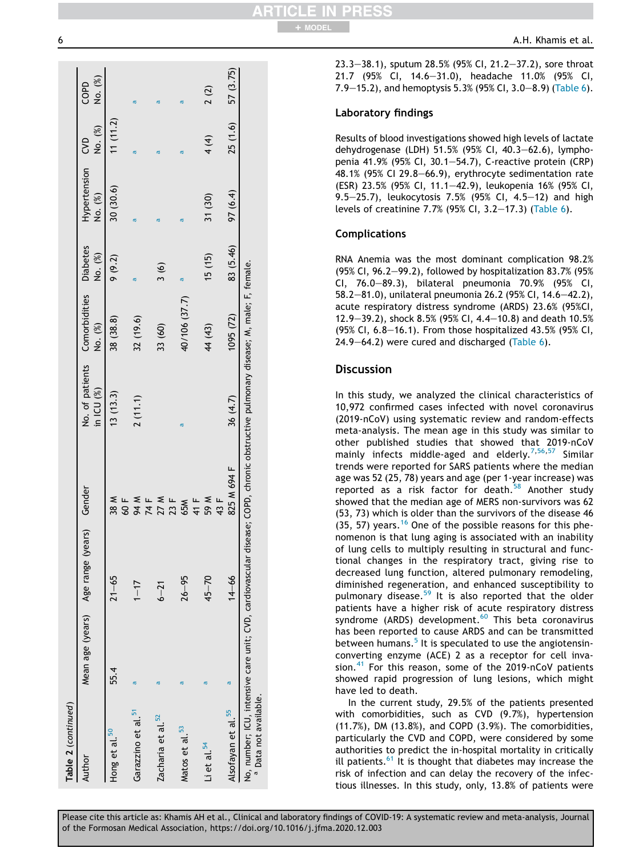| Table 2 (continued)              |                                                                                                                                     |                                           |                     |              |                                                   |               |                             |          |                 |
|----------------------------------|-------------------------------------------------------------------------------------------------------------------------------------|-------------------------------------------|---------------------|--------------|---------------------------------------------------|---------------|-----------------------------|----------|-----------------|
| Author                           |                                                                                                                                     | Mean age (years) Age range (years) Gender |                     | in ICU $(%)$ | No. of patients Comorbidities Diabetes<br>No. (%) | No. (%)       | Hypertension CVD<br>No. (%) | No. (%)  | No. (%)<br>COPD |
| Hong et al. <sup>50</sup>        | 55.4                                                                                                                                | $21 - 65$                                 | 38 M<br>60 F        | 13(13.3)     | 38 (38.8)                                         | 9(9.2)        | 30 (30.6)                   | 11(11.2) |                 |
| Garazzino et al. <sup>51</sup>   | σ                                                                                                                                   | $1 - 17$                                  | 94 M<br>74 F        | 2(11.1)      | 32 (19.6)                                         | ø             | ൯                           | ø        | ø               |
| Zacharia et al. 52               | đ                                                                                                                                   | $6 - 21$                                  | 27 M<br>23 F        |              | 33 (60)                                           | $\frac{3}{6}$ | ø                           | ത        | đ               |
| Matos et al. 53                  | ø                                                                                                                                   | $26 - 95$                                 | 41 F<br>65M         | ൯            | 40/106 (37.7)                                     | σ             | $\sigma$                    | ø        | ø               |
| Li et al. $^{54}$                | đ                                                                                                                                   | $45 - 70$                                 | <b>W 65</b><br>43 F |              | 44 (43)                                           | 15(15)        | 31 (30)                     | 4(4)     | 2(2)            |
| Alsofayan et al. <sup>55</sup>   | ø                                                                                                                                   | $14 - 66$                                 | 825 M 694 F         | 36 (4.7)     | 1095(72)                                          | 83 (5.46)     | 97 (6.4)                    | 25(1.6)  | 57 (3.75)       |
| <sup>a</sup> Data not available. | No, number; ICU, intensive care unit; CVD, cardiovascular disease; COPD, chronic obstructive pulmonary disease; M, male; F, female. |                                           |                     |              |                                                   |               |                             |          |                 |
|                                  |                                                                                                                                     |                                           |                     |              |                                                   |               |                             |          |                 |

23.3-38.1), sputum 28.5% (95% CI, 21.2-37.2), sore throat 21.7 (95% CI, 14.6-31.0), headache 11.0% (95% CI, 7.9–15.2), and hemoptysis 5.3% (95% CI, 3.0–8.9) (Table 6).

## Laboratory findings

Results of blood investigations showed high levels of lactate dehydrogenase (LDH) 51.5% (95% CI, 40.3-62.6), lymphopenia 41.9% (95% CI, 30.1–54.7), C-reactive protein (CRP) 48.1% (95% CI 29.8 $-66.9$ ), erythrocyte sedimentation rate (ESR) 23.5% (95% CI, 11.1e42.9), leukopenia 16% (95% CI, 9.5-25.7), leukocytosis 7.5% (95% CI, 4.5-12) and high levels of creatinine 7.7% (95% CI, 3.2-17.3) (Table 6).

## Complications

RNA Anemia was the most dominant complication 98.2% (95% CI, 96.2–99.2), followed by hospitalization 83.7% (95%) CI, 76.0-89.3), bilateral pneumonia 70.9% (95% CI, 58.2-81.0), unilateral pneumonia 26.2 (95% CI, 14.6-42.2), acute respiratory distress syndrome (ARDS) 23.6% (95%CI, 12.9-39.2), shock 8.5% (95% CI, 4.4-10.8) and death 10.5% (95% CI,  $6.8-16.1$ ). From those hospitalized 43.5% (95% CI,  $24.9-64.2$ ) were cured and discharged (Table 6).

## **Discussion**

In this study, we analyzed the clinical characteristics of 10,972 confirmed cases infected with novel coronavirus (2019-nCoV) using systematic review and random-effects meta-analysis. The mean age in this study was similar to other published studies that showed that 2019-nCoV mainly infects middle-aged and elderly.<sup>7,56,57</sup> Similar trends were reported for SARS patients where the median age was 52 (25, 78) years and age (per 1-year increase) was reported as a risk factor for death. $58$  Another study showed that the median age of MERS non-survivors was 62 (53, 73) which is older than the survivors of the disease 46  $(35, 57)$  years.<sup>16</sup> One of the possible reasons for this phenomenon is that lung aging is associated with an inability of lung cells to multiply resulting in structural and functional changes in the respiratory tract, giving rise to decreased lung function, altered pulmonary remodeling, diminished regeneration, and enhanced susceptibility to pulmonary disease.<sup>59</sup> It is also reported that the older patients have a higher risk of acute respiratory distress syndrome (ARDS) development.<sup>60</sup> This beta coronavirus has been reported to cause ARDS and can be transmitted between humans.<sup>5</sup> It is speculated to use the angiotensinconverting enzyme (ACE) 2 as a receptor for cell invasion.<sup>41</sup> For this reason, some of the 2019-nCoV patients showed rapid progression of lung lesions, which might have led to death.

In the current study, 29.5% of the patients presented with comorbidities, such as CVD (9.7%), hypertension (11.7%), DM (13.8%), and COPD (3.9%). The comorbidities, particularly the CVD and COPD, were considered by some authorities to predict the in-hospital mortality in critically ill patients. $61$  It is thought that diabetes may increase the risk of infection and can delay the recovery of the infectious illnesses. In this study, only, 13.8% of patients were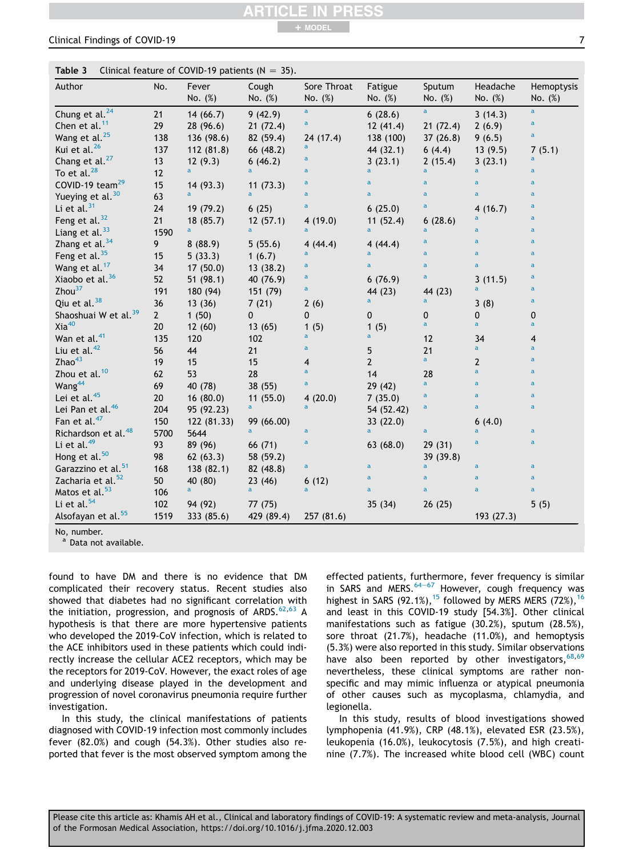#### Please cite this article as: Khamis AH et al., Clinical and laboratory findings of COVID-19: A systematic review and meta-analysis, Journal of the Formosan Medical Association, https://doi.org/10.1016/j.jfma.2020.12.003

**Table 3** Clinical feature of COVID-19 patients  $(N = 35)$ .

| Author                           | No.         | Fever<br>No. (%) | Cough<br>No. (%) | Sore Throat<br>No. (%) | Fatigue<br>No. (%) | Sputum<br>No. (%) | Headache<br>No. (%) | Hemoptysis<br>No. (%)   |
|----------------------------------|-------------|------------------|------------------|------------------------|--------------------|-------------------|---------------------|-------------------------|
| Chung et al. <sup>24</sup>       | 21          | 14(66.7)         | 9(42.9)          | a                      | 6(28.6)            | a                 | 3(14.3)             | $\mathbf{a}$            |
| Chen et al. <sup>11</sup>        | 29          | 28(96.6)         | 21(72.4)         | a                      | 12(41.4)           | 21(72.4)          | 2(6.9)              | a                       |
| Wang et al. <sup>25</sup>        | 138         | 136 (98.6)       | 82 (59.4)        | 24 (17.4)              | 138 (100)          | 37(26.8)          | 9(6.5)              | a                       |
| Kui et al. <sup>26</sup>         | 137         | 112(81.8)        | 66 (48.2)        | a                      | 44 (32.1)          | 6(4.4)            | 13(9.5)             | 7(5.1)                  |
| Chang et al. <sup>27</sup>       | 13          | 12(9.3)          | 6(46.2)          | a                      | 3(23.1)            | 2(15.4)           | 3(23.1)             | a                       |
| To et al. $^{28}$                | 12          | a                |                  | a                      | a                  | a                 | a                   | a                       |
| COVID-19 team <sup>29</sup>      | 15          | 14(93.3)         | 11(73.3)         | $\mathbf{a}$           | $\mathbf{a}$       | $\overline{a}$    | a                   | a                       |
| Yueying et al. <sup>30</sup>     | 63          | a                | a                | $\mathsf{a}$           | a                  | $\overline{a}$    | a                   | $\mathsf{a}$            |
| Li et al. $31$                   | 24          | 19 (79.2)        | 6(25)            | $\mathsf{a}$           | 6(25.0)            | $\mathsf{a}$      | 4(16.7)             | a                       |
| Feng et al. <sup>32</sup>        | 21          | 18(85.7)         | 12(57.1)         | 4(19.0)                | 11(52.4)           | 6(28.6)           | a                   | a                       |
| Liang et al. <sup>33</sup>       | 1590        | $\overline{a}$   | a                | a                      | a                  | a                 | a                   | $\mathbf{a}$            |
| Zhang et al. <sup>34</sup>       | 9           | 8(88.9)          | 5(55.6)          | 4(44.4)                | 4(44.4)            | a                 | a                   | a                       |
| Feng et al. <sup>35</sup>        | 15          | 5(33.3)          | 1(6.7)           | a                      | a                  | a                 | a                   | $\mathsf{a}$            |
| Wang et al. <sup>17</sup>        | 34          | 17(50.0)         | 13(38.2)         | $\mathsf{a}$           | a                  | a                 | a                   | a                       |
| Xiaobo et al. <sup>36</sup>      | 52          | 51(98.1)         | 40 (76.9)        | a                      | 6(76.9)            | a                 | 3(11.5)             | a                       |
| Zhou <sup>37</sup>               | 191         | 180 (94)         | 151 (79)         | a                      | 44 (23)            | 44 (23)           | a                   | a                       |
| Qiu et al. <sup>38</sup>         | 36          | 13(36)           | 7(21)            | 2(6)                   | a                  | a                 | 3(8)                | $\mathsf{a}$            |
| Shaoshuai W et al. <sup>39</sup> | $2^{\circ}$ | 1(50)            | 0                | 0                      | 0                  | 0                 | 0                   | 0                       |
| $Xia^{40}$                       | 20          | 12(60)           | 13(65)           | 1(5)                   | 1(5)               | a                 | a                   | a                       |
| Wan et al. <sup>41</sup>         | 135         | 120              | 102              | a                      | a                  | 12                | 34                  | 4                       |
| Liu et al. <sup>42</sup>         | 56          | 44               | 21               | a                      | 5                  | 21                | a                   | a                       |
| Zhao <sup>43</sup>               | 19          | 15               | 15               | 4                      | $\overline{2}$     | $\mathbf{a}$      | $\overline{2}$      | a                       |
| Zhou et al. <sup>10</sup>        | 62          | 53               | 28               | $\overline{a}$         | 14                 | 28                | $\overline{a}$      | $\mathsf{a}$            |
| Wang <sup>44</sup>               | 69          | 40 (78)          | 38 (55)          | a                      | 29(42)             | a                 | a                   | $\mathsf{a}$            |
| Lei et al. <sup>45</sup>         | 20          | 16(80.0)         | 11(55.0)         | 4(20.0)                | 7(35.0)            | a                 | a                   | $\mathsf{a}$            |
| Lei Pan et al. <sup>46</sup>     | 204         | 95 (92.23)       | a                | a                      | 54 (52.42)         | a                 | a                   | $\mathsf{a}$            |
| Fan et al. <sup>47</sup>         | 150         | 122 (81.33)      | 99 (66.00)       |                        | 33(22.0)           |                   | 6(4.0)              |                         |
| Richardson et al. <sup>48</sup>  | 5700        | 5644             | a                | $\mathbf{a}$           | a                  | a                 | a                   | $\overline{\mathbf{a}}$ |
| Li et al. <sup>49</sup>          | 93          | 89 (96)          | 66 (71)          | a                      | 63(68.0)           | 29(31)            | a                   | $\mathbf{a}$            |
| Hong et al. <sup>50</sup>        | 98          | 62(63.3)         | 58 (59.2)        |                        |                    | 39 (39.8)         |                     |                         |
| Garazzino et al. <sup>51</sup>   | 168         | 138 (82.1)       | 82 (48.8)        | $\mathsf{a}$           | a                  | a                 | a                   | $\overline{a}$          |
| Zacharia et al. <sup>52</sup>    | 50          | 40 (80)          | 23(46)           | 6(12)                  | a                  | a                 | a                   | $\mathsf{a}$            |
| Matos et al. <sup>53</sup>       | 106         | $\mathsf{a}$     | a                | a                      | a                  | $\overline{a}$    | a                   | $\mathbf{a}$            |
| Li et al. <sup>54</sup>          | 102         | 94 (92)          | 77 (75)          |                        | 35(34)             | 26(25)            |                     | 5(5)                    |
| Alsofayan et al. <sup>55</sup>   | 1519        | 333 (85.6)       | 429 (89.4)       | 257 (81.6)             |                    |                   | 193 (27.3)          |                         |

+ MODEL

No, number.

a Data not available.

found to have DM and there is no evidence that DM complicated their recovery status. Recent studies also showed that diabetes had no significant correlation with the initiation, progression, and prognosis of ARDS. $62,63$  A hypothesis is that there are more hypertensive patients who developed the 2019-CoV infection, which is related to the ACE inhibitors used in these patients which could indirectly increase the cellular ACE2 receptors, which may be the receptors for 2019-CoV. However, the exact roles of age and underlying disease played in the development and progression of novel coronavirus pneumonia require further investigation.

In this study, the clinical manifestations of patients diagnosed with COVID-19 infection most commonly includes fever (82.0%) and cough (54.3%). Other studies also reported that fever is the most observed symptom among the effected patients, furthermore, fever frequency is similar in SARS and MERS. $64-67$  However, cough frequency was highest in SARS (92.1%),<sup>15</sup> followed by MERS MERS (72%),<sup>16</sup> and least in this COVID-19 study [54.3%]. Other clinical manifestations such as fatigue (30.2%), sputum (28.5%), sore throat (21.7%), headache (11.0%), and hemoptysis (5.3%) were also reported in this study. Similar observations have also been reported by other investigators,  $68,69$ nevertheless, these clinical symptoms are rather nonspecific and may mimic influenza or atypical pneumonia of other causes such as mycoplasma, chlamydia, and legionella.

In this study, results of blood investigations showed lymphopenia (41.9%), CRP (48.1%), elevated ESR (23.5%), leukopenia (16.0%), leukocytosis (7.5%), and high creatinine (7.7%). The increased white blood cell (WBC) count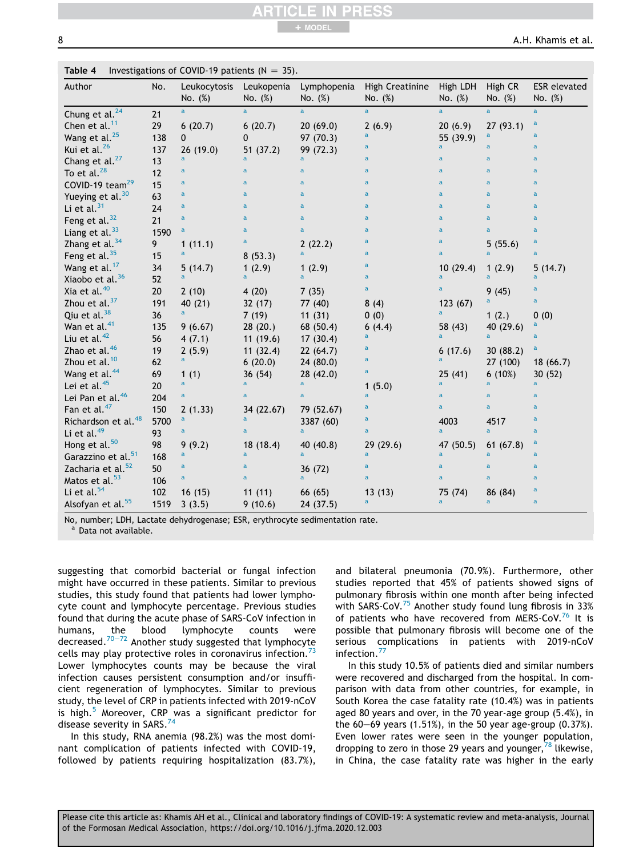8 A.H. Khamis et al.

| Author                          | No.  | Leukocytosis<br>No. (%) | Leukopenia<br>No. (%) | Lymphopenia<br>No. (%) | High Creatinine<br>No. (%) | High LDH<br>No. (%) | High CR<br>No. (%) | <b>ESR</b> elevated<br>No. $(\%)$ |
|---------------------------------|------|-------------------------|-----------------------|------------------------|----------------------------|---------------------|--------------------|-----------------------------------|
| Chung et al. <sup>24</sup>      | 21   | a                       | $\overline{a}$        | $\overline{a}$         | $\overline{a}$             | $\overline{a}$      | $\overline{a}$     | $\overline{a}$                    |
| Chen et al. $11$                | 29   | 6(20.7)                 | 6(20.7)               | 20(69.0)               | 2(6.9)                     | 20(6.9)             | 27(93.1)           | $\mathsf{a}$                      |
| Wang et al. <sup>25</sup>       | 138  | $\mathbf 0$             | 0                     | 97 (70.3)              | a                          | 55(39.9)            | $\mathsf{a}$       | $\overline{a}$                    |
| Kui et al. <sup>26</sup>        | 137  | 26(19.0)                | 51 (37.2)             | 99 (72.3)              | a                          | a                   | $\overline{a}$     | $\overline{a}$                    |
| Chang et al. <sup>27</sup>      | 13   | a                       | a                     | a                      | a                          | $\mathbf{a}$        | $\mathbf{a}$       | $\overline{a}$                    |
| To et al. $^{28}$               | 12   | a                       | a                     | a                      | a                          | $\mathbf{a}$        | $\mathbf{a}$       | $\overline{a}$                    |
| COVID-19 team <sup>29</sup>     | 15   | a                       | $\mathsf{a}$          | a                      | a                          | $\mathsf{a}$        | $\mathbf{a}$       | $\mathsf{a}$                      |
| Yueying et al. <sup>30</sup>    | 63   | a                       | a                     | a                      | a                          | $\mathsf{a}$        | a                  | $\mathsf{a}$                      |
| Li et al. $31$                  | 24   | a                       | a                     | a                      | a                          | $\mathsf{a}$        | a                  | a                                 |
| Feng et al. $32$                | 21   | a                       | a                     | a                      | a                          | $\mathsf{a}$        | $\mathsf{a}$       | $\mathsf{a}$                      |
| Liang et al. $33$               | 1590 | a                       | a                     | a                      | a                          | $\mathsf{a}$        | $\mathsf{a}$       | $\overline{a}$                    |
| Zhang et al. $34$               | 9    | 1(11.1)                 | $\mathsf{a}$          | 2(22.2)                | a                          | $\mathsf{a}$        | 5(55.6)            | $\mathsf{a}$                      |
| Feng et al. $35$                | 15   | a                       | 8(53.3)               | a                      | a                          | $\mathsf{a}$        | a                  | $\overline{a}$                    |
| Wang et al. <sup>17</sup>       | 34   | 5(14.7)                 | 1(2.9)                | 1(2.9)                 | a                          | 10(29.4)            | 1(2.9)             | 5(14.7)                           |
| Xiaobo et al. <sup>36</sup>     | 52   |                         |                       | a                      | $\mathsf{a}$               | a                   | a                  | a                                 |
| Xia et al. <sup>40</sup>        | 20   | 2(10)                   | 4(20)                 | 7(35)                  | $\mathbf{a}$               | a                   | 9(45)              | $\mathsf{a}$                      |
| Zhou et al. $37$                | 191  | 40 (21)                 | 32(17)                | 77 (40)                | 8(4)                       | 123 (67)            | a                  | $\mathbf{a}$                      |
| Qiu et al. <sup>38</sup>        | 36   | a                       | 7(19)                 | 11(31)                 | 0(0)                       | a                   | 1(2.)              | 0(0)                              |
| Wan et al. <sup>41</sup>        | 135  | 9(6.67)                 | 28(20.)               | 68 (50.4)              | 6(4.4)                     | 58 (43)             | 40 (29.6)          | a                                 |
| Liu et al. $42$                 | 56   | 4(7.1)                  | 11(19.6)              | 17(30.4)               | a                          | $\overline{a}$      | a.                 | $\overline{a}$                    |
| Zhao et al. <sup>46</sup>       | 19   | 2(5.9)                  | 11(32.4)              | 22(64.7)               | a                          | 6(17.6)             | 30(88.2)           | $\mathbf{a}$                      |
| Zhou et al. <sup>10</sup>       | 62   | a                       | 6(20.0)               | 24(80.0)               | a                          | a                   | 27 (100)           | 18(66.7)                          |
| Wang et al. <sup>44</sup>       | 69   | 1(1)                    | 36(54)                | 28(42.0)               | a                          | 25(41)              | 6(10%)             | 30(52)                            |
| Lei et al. <sup>45</sup>        | 20   | $\mathbf{a}$            | a                     | a                      | 1(5.0)                     | a                   | a                  | a                                 |
| Lei Pan et al. <sup>46</sup>    | 204  | a                       | a                     | a                      | a                          | a                   | $\overline{a}$     | $\overline{a}$                    |
| Fan et al. <sup>47</sup>        | 150  | 2(1.33)                 | 34 (22.67)            | 79 (52.67)             | a                          | a                   | a                  | a                                 |
| Richardson et al. <sup>48</sup> | 5700 | a                       | a                     | 3387 (60)              | a                          | 4003                | 4517               | a                                 |
| Li et al. $49$                  | 93   | a                       | $\mathsf{a}$          | a                      | a                          | a                   | $\mathbf{a}$       | $\mathsf{a}$                      |
| Hong et al. <sup>50</sup>       | 98   | 9(9.2)                  | 18 (18.4)             | 40 (40.8)              | 29<br>(29.6)               | 47 (50.5)           | 61(67.8)           | a                                 |
| Garazzino et al. <sup>51</sup>  | 168  | a                       | a                     | a                      | a                          | a                   | a                  | $\mathsf{a}$                      |
| Zacharia et al. <sup>52</sup>   | 50   | a                       | a                     | 36 (72)                | a                          | $\mathsf{a}$        | $\mathsf{a}$       | $\mathsf{a}$                      |
| Matos et al. <sup>53</sup>      | 106  | a                       | a                     | a                      | a                          | $\mathsf{a}$        | $\mathsf{a}$       | $\overline{a}$                    |
| Li et al. $54$                  | 102  | 16(15)                  | 11(11)                | 66 (65)                | 13(13)                     | 75 (74)             | 86 (84)            | $\mathsf{a}$                      |
| Alsofyan et al. <sup>55</sup>   | 1519 | 3(3.5)                  | 9(10.6)               | 24(37.5)               | a                          | a                   | $\mathbf{a}$       | $\mathbf{a}$                      |

No, number; LDH, Lactate dehydrogenase; ESR, erythrocyte sedimentation rate.

<sup>a</sup> Data not available.

suggesting that comorbid bacterial or fungal infection might have occurred in these patients. Similar to previous studies, this study found that patients had lower lymphocyte count and lymphocyte percentage. Previous studies found that during the acute phase of SARS-CoV infection in humans, the blood lymphocyte counts were decreased. $70-72$  Another study suggested that lymphocyte cells may play protective roles in coronavirus infection. $73$ Lower lymphocytes counts may be because the viral infection causes persistent consumption and/or insufficient regeneration of lymphocytes. Similar to previous study, the level of CRP in patients infected with 2019-nCoV is high.<sup>5</sup> Moreover, CRP was a significant predictor for disease severity in SARS.<sup>74</sup>

In this study, RNA anemia (98.2%) was the most dominant complication of patients infected with COVID-19, followed by patients requiring hospitalization (83.7%), and bilateral pneumonia (70.9%). Furthermore, other studies reported that 45% of patients showed signs of pulmonary fibrosis within one month after being infected with SARS-CoV.<sup>75</sup> Another study found lung fibrosis in 33% of patients who have recovered from MERS-CoV.<sup>76</sup> It is possible that pulmonary fibrosis will become one of the serious complications in patients with 2019-nCoV infection.<sup>77</sup>

In this study 10.5% of patients died and similar numbers were recovered and discharged from the hospital. In comparison with data from other countries, for example, in South Korea the case fatality rate (10.4%) was in patients aged 80 years and over, in the 70 year-age group (5.4%), in the  $60-69$  years (1.51%), in the 50 year age-group (0.37%). Even lower rates were seen in the younger population, dropping to zero in those 29 years and younger,  $^{78}$  likewise, in China, the case fatality rate was higher in the early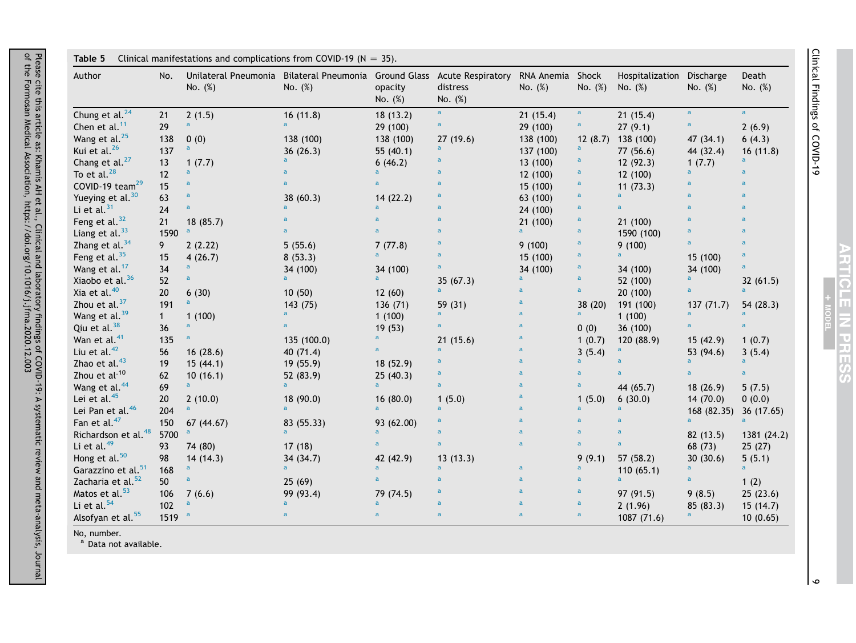| Author                          | No.      | Unilateral Pneumonia Bilateral Pneumonia Ground Glass Acute Respiratory<br>No. (%) | No. (%)                   | opacity<br>No. $(\%)$     | distress<br>No. (%) | RNA Anemia Shock<br>No. (%) | No. (%)        | Hospitalization<br>No. $(\%)$ | Discharge<br>No. (%) | Death<br>No. $(\%)$ |
|---------------------------------|----------|------------------------------------------------------------------------------------|---------------------------|---------------------------|---------------------|-----------------------------|----------------|-------------------------------|----------------------|---------------------|
| Chung et al. <sup>24</sup>      | 21       | 2(1.5)                                                                             | 16(11.8)                  | 18(13.2)                  | $\mathbf{a}$        | 21(15.4)                    | $\mathbf a$    | 21(15.4)                      | $\mathbf{a}$         | $\mathbf{a}$        |
| Chen et al. $11$                | 29       | $\mathbf{a}$                                                                       | a.                        | 29 (100)                  | $\mathbf a$         | 29 (100)                    | a              | 27(9.1)                       | a                    | 2(6.9)              |
| Wang et al. <sup>25</sup>       | 138      | 0(0)                                                                               | 138 (100)                 | 138 (100)                 | 27(19.6)            | 138 (100)                   | 12(8.7)        | 138 (100)                     | 47 (34.1)            | 6(4.3)              |
| Kui et al. <sup>26</sup>        | 137      | $\mathsf{a}$                                                                       | 36(26.3)                  | 55 $(40.1)$               | $\mathsf{a}$        | 137 (100)                   | a              | 77(56.6)                      | 44 (32.4)            | 16(11.8)            |
| Chang et al. <sup>27</sup>      | 13       | 1(7.7)                                                                             | $\overline{a}$            | 6(46.2)                   | $\mathsf{a}$        | 13 (100)                    | a              | 12(92.3)                      | 1(7.7)               | a                   |
| To et al. $^{28}$               | 12       | $\mathsf{a}$                                                                       |                           | $\overline{a}$            | $\mathsf{a}$        | 12 (100)                    | a              | 12(100)                       | a.                   | $\mathsf{a}$        |
| COVID-19 team <sup>29</sup>     | 15       | $\mathbf{a}$                                                                       | a                         | $\mathbf{a}$              | $\mathsf{a}$        | 15 (100)                    | a              | 11(73.3)                      | a                    | $\mathbf{a}$        |
| Yueying et al. <sup>30</sup>    | 63       | $\mathbf{a}$                                                                       | 38 (60.3)                 | 14(22.2)                  | $\mathsf{a}$        | 63 (100)                    | $\overline{a}$ | $\overline{a}$                | $\overline{a}$       | $\overline{a}$      |
| Li et al. $31$                  | 24       | $\overline{a}$                                                                     | a                         | $\mathbf{a}$              | $\mathbf a$         | 24 (100)                    | $\mathbf{a}$   |                               | a                    | $\mathsf{a}$        |
| Feng et al. $32$                | 21       | 18(85.7)                                                                           |                           | $\overline{a}$            | $\mathsf{a}$        | 21(100)                     | $\mathsf{a}$   | 21 (100)                      | a                    | $\mathsf{a}$        |
| Liang et al. $33$               | 1590     | $\mathsf{a}$                                                                       | a                         | $\mathbf{a}$              | $\mathsf{a}$        | $\mathsf{a}$                | $\mathbf{a}$   | 1590 (100)                    | a                    | $\mathsf{a}$        |
| Zhang et al. $34$               | 9        | 2(2.22)                                                                            | 5(55.6)                   | 7(77.8)                   | $\mathsf{a}$        | 9(100)                      | a              | 9(100)                        | a                    | $\mathbf{a}$        |
| Feng et al. $35$                | 15       | 4(26.7)                                                                            | 8(53.3)                   | $\mathbf{a}$              | $\mathsf{a}$        | 15 (100)                    | $\overline{a}$ | a                             | 15 (100)             | $\mathbf{a}$        |
| Wang et al. <sup>17</sup>       | 34       | $\mathsf{a}$                                                                       | 34 (100)                  | 34 (100)                  | $\mathsf a$         | 34 (100)                    | a              | 34 (100)                      | 34 (100)             | $\mathbf{a}$        |
| Xiaobo et al. <sup>36</sup>     | 52       | $\mathbf{a}$                                                                       | $\overline{a}$            | $\mathbf{a}$              | 35(67.3)            | $\mathsf{a}$                | a              | 52 (100)                      | a                    | 32(61.5)            |
| Xia et al. <sup>40</sup>        | 20       | 6(30)                                                                              | 10(50)                    | 12(60)                    | a                   | a                           | $\mathsf{a}$   | 20(100)                       |                      | $\mathbf{a}$        |
| Zhou et al. <sup>37</sup>       | 191      | $\overline{a}$                                                                     | 143 (75)                  | 136 (71)                  | 59 (31)             | $\overline{a}$              | 38(20)         | 191 (100)                     | 137(71.7)            | 54 (28.3)           |
| Wang et al. <sup>39</sup>       | 1        | 1(100)                                                                             | a.                        | 1(100)                    | $\mathbf{a}$        | a                           | a              | 1(100)                        | a                    | a                   |
| Qiu et al. $38$                 | 36       | $\mathsf{a}$                                                                       | $\mathbf{a}$              | 19(53)                    | a                   | $\overline{a}$              | 0(0)           | 36 (100)                      |                      | $\mathbf{a}$        |
| Wan et al. <sup>41</sup>        | 135      | $\mathbf{a}$                                                                       | 135 (100.0)               | $\mathsf{a}$              | 21(15.6)            |                             | 1(0.7)         | 120 (88.9)                    | 15(42.9)             | 1(0.7)              |
| Liu et al. $42$                 | 56       | 16(28.6)                                                                           | 40 (71.4)                 | $\mathbf{a}$              | $\mathbf{a}$        | $\overline{a}$              | 3(5.4)         |                               | 53 (94.6)            | 3(5.4)              |
| Zhao et al. <sup>43</sup>       | 19       | 15(44.1)                                                                           | 19(55.9)                  | 18(52.9)                  | $\mathsf{a}$        | a                           | $\mathbf{a}$   |                               | $\overline{a}$       | $\mathbf{a}$        |
| Zhou et al <sup>-10</sup>       | 62       | 10(16.1)                                                                           | 52 (83.9)                 | 25(40.3)                  | $\mathsf{a}$        | $\overline{a}$              | a              |                               |                      | $\mathbf{a}$        |
| Wang et al. <sup>44</sup>       | 69       | $\mathbf{a}$                                                                       | a                         | $\mathbf{a}$              | $\mathsf{a}$        | a                           | $\mathsf{a}$   | 44 (65.7)                     | 18(26.9)             | 5(7.5)              |
| Lei et al. <sup>45</sup>        | 20       | 2(10.0)                                                                            | 18 (90.0)                 | 16(80.0)                  | 1(5.0)              |                             | 1(5.0)         | 6(30.0)                       | 14(70.0)             | 0(0.0)              |
| Lei Pan et al. <sup>46</sup>    | 204      | $\mathsf{a}$                                                                       | $\overline{a}$            | $\overline{a}$            | $\mathbf{a}$        | a                           | a              | a                             | 168 (82.35)          | 36 (17.65)          |
| Fan et al. <sup>47</sup>        | 150      | 67 (44.67)                                                                         | 83 (55.33)                | 93 (62.00)                | $\mathsf{a}$        | a                           | a              | a                             | a                    | $\mathbf{a}$        |
| Richardson et al. <sup>48</sup> | 5700     | $\mathsf a$                                                                        | a.                        | $\mathsf{a}$              | $\mathbf a$         | $\overline{a}$              | $\overline{a}$ | a                             | 82 (13.5)            | 1381 (24.2)         |
| Li et al. $49$                  | 93       | 74 (80)                                                                            | 17(18)                    | $\mathbf{a}$              | $\mathsf{a}$        | a                           | $\mathbf{a}$   | $\overline{a}$                | 68 (73)              | 25(27)              |
| Hong et al. <sup>50</sup>       | 98       | 14(14.3)                                                                           | 34 (34.7)                 | 42 (42.9)                 | 13(13.3)            |                             | 9(9.1)         | 57 (58.2)                     | 30(30.6)             | 5(5.1)              |
| Garazzino et al. <sup>51</sup>  | 168      | $\mathsf{a}$                                                                       | $\overline{a}$            | $\overline{a}$            | $\mathbf{a}$        | a                           | a              | 110(65.1)                     | a                    | $\mathbf{a}$        |
| Zacharia et al. <sup>52</sup>   | 50       | $\mathsf{a}$                                                                       |                           | $\mathbf{a}$              | $\mathsf{a}$        | a                           | $\mathbf{a}$   | $\overline{a}$                | a                    |                     |
| Matos et al. <sup>53</sup>      |          |                                                                                    | 25(69)                    |                           | $\mathsf{a}$        | a                           | $\overline{a}$ |                               |                      | 1(2)                |
| Li et al. $54$                  | 106      | 7(6.6)<br>$\mathsf{a}$                                                             | 99 (93.4)<br>$\mathbf{a}$ | 79 (74.5)<br>$\mathbf{a}$ | $\mathsf{a}$        | a                           | $\mathbf{a}$   | 97 (91.5)                     | 9(8.5)               | 25(23.6)            |
|                                 | 102      |                                                                                    | $\overline{a}$            | $\mathbf{a}$              | $\mathsf{a}$        | $\overline{a}$              | $\overline{a}$ | 2(1.96)                       | 85(83.3)             | 15(14.7)            |
| Alsofyan et al. <sup>55</sup>   | 1519 $a$ |                                                                                    |                           |                           |                     |                             |                | 1087 (71.6)                   |                      | 10(0.65)            |

No, number.

<sup>a</sup> Data not available.

Clinical Findings of COVID-19 Clinical Findings of COVID-19

> ARTICLE IN PRESS MODEL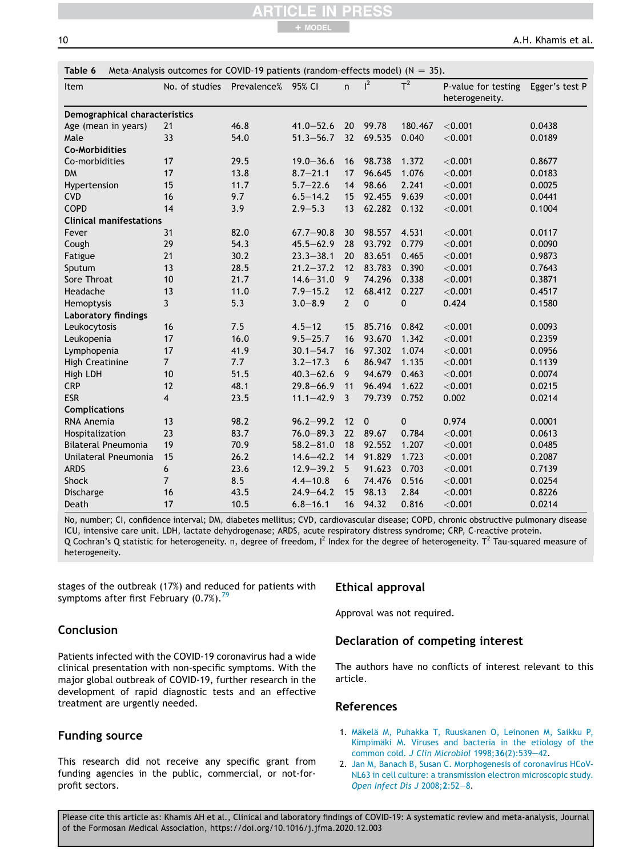10 **A.H. Khamis et al.** 

| Item                           | No. of studies | Prevalence% 95% CI |               | $\mathsf{n}$   | $l^2$       | $T^2$       | P-value for testing<br>heterogeneity. | Egger's test P |
|--------------------------------|----------------|--------------------|---------------|----------------|-------------|-------------|---------------------------------------|----------------|
| Demographical characteristics  |                |                    |               |                |             |             |                                       |                |
| Age (mean in years)            | 21             | 46.8               | $41.0 - 52.6$ | 20             | 99.78       | 180.467     | < 0.001                               | 0.0438         |
| Male                           | 33             | 54.0               | $51.3 - 56.7$ | 32             | 69.535      | 0.040       | < 0.001                               | 0.0189         |
| <b>Co-Morbidities</b>          |                |                    |               |                |             |             |                                       |                |
| Co-morbidities                 | 17             | 29.5               | $19.0 - 36.6$ | 16             | 98.738      | 1.372       | < 0.001                               | 0.8677         |
| <b>DM</b>                      | 17             | 13.8               | $8.7 - 21.1$  | 17             | 96.645      | 1.076       | < 0.001                               | 0.0183         |
| Hypertension                   | 15             | 11.7               | $5.7 - 22.6$  | 14             | 98.66       | 2.241       | < 0.001                               | 0.0025         |
| <b>CVD</b>                     | 16             | 9.7                | $6.5 - 14.2$  | 15             | 92.455      | 9.639       | < 0.001                               | 0.0441         |
| COPD                           | 14             | 3.9                | $2.9 - 5.3$   | 13             | 62.282      | 0.132       | $<$ 0.001                             | 0.1004         |
| <b>Clinical manifestations</b> |                |                    |               |                |             |             |                                       |                |
| Fever                          | 31             | 82.0               | $67.7 - 90.8$ | 30             | 98.557      | 4.531       | $<$ 0.001                             | 0.0117         |
| Cough                          | 29             | 54.3               | $45.5 - 62.9$ | 28             | 93.792      | 0.779       | < 0.001                               | 0.0090         |
| Fatigue                        | 21             | 30.2               | $23.3 - 38.1$ | 20             | 83.651      | 0.465       | $<$ 0.001                             | 0.9873         |
| Sputum                         | 13             | 28.5               | $21.2 - 37.2$ | 12             | 83.783      | 0.390       | < 0.001                               | 0.7643         |
| Sore Throat                    | 10             | 21.7               | $14.6 - 31.0$ | 9              | 74.296      | 0.338       | $<$ 0.001                             | 0.3871         |
| Headache                       | 13             | 11.0               | $7.9 - 15.2$  | 12             | 68.412      | 0.227       | < 0.001                               | 0.4517         |
| Hemoptysis                     | $\mathbf{3}$   | 5.3                | $3.0 - 8.9$   | $\overline{2}$ | 0           | $\pmb{0}$   | 0.424                                 | 0.1580         |
| Laboratory findings            |                |                    |               |                |             |             |                                       |                |
| Leukocytosis                   | 16             | 7.5                | $4.5 - 12$    | 15             | 85.716      | 0.842       | $<$ 0.001                             | 0.0093         |
| Leukopenia                     | 17             | 16.0               | $9.5 - 25.7$  | 16             | 93.670      | 1.342       | < 0.001                               | 0.2359         |
| Lymphopenia                    | 17             | 41.9               | $30.1 - 54.7$ | 16             | 97.302      | 1.074       | < 0.001                               | 0.0956         |
| <b>High Creatinine</b>         | $\overline{7}$ | 7.7                | $3.2 - 17.3$  | 6              | 86.947      | 1.135       | < 0.001                               | 0.1139         |
| High LDH                       | 10             | 51.5               | $40.3 - 62.6$ | 9              | 94.679      | 0.463       | < 0.001                               | 0.0074         |
| <b>CRP</b>                     | 12             | 48.1               | $29.8 - 66.9$ | 11             | 96.494      | 1.622       | < 0.001                               | 0.0215         |
| <b>ESR</b>                     | $\overline{4}$ | 23.5               | $11.1 - 42.9$ | 3              | 79.739      | 0.752       | 0.002                                 | 0.0214         |
| <b>Complications</b>           |                |                    |               |                |             |             |                                       |                |
| RNA Anemia                     | 13             | 98.2               | $96.2 - 99.2$ | 12             | $\mathbf 0$ | $\mathbf 0$ | 0.974                                 | 0.0001         |
| Hospitalization                | 23             | 83.7               | $76.0 - 89.3$ | 22             | 89.67       | 0.784       | < 0.001                               | 0.0613         |
| <b>Bilateral Pneumonia</b>     | 19             | 70.9               | $58.2 - 81.0$ | 18             | 92.552      | 1.207       | < 0.001                               | 0.0485         |
| Unilateral Pneumonia           | 15             | 26.2               | $14.6 - 42.2$ | 14             | 91.829      | 1.723       | < 0.001                               | 0.2087         |
| <b>ARDS</b>                    | 6              | 23.6               | $12.9 - 39.2$ | 5              | 91.623      | 0.703       | $<$ 0.001                             | 0.7139         |
| Shock                          | $\overline{7}$ | 8.5                | $4.4 - 10.8$  | 6              | 74.476      | 0.516       | < 0.001                               | 0.0254         |
| Discharge                      | 16             | 43.5               | $24.9 - 64.2$ | 15             | 98.13       | 2.84        | < 0.001                               | 0.8226         |
| Death                          | 17             | 10.5               | $6.8 - 16.1$  | 16             | 94.32       | 0.816       | < 0.001                               | 0.0214         |

+ MODEL

No, number; CI, confidence interval; DM, diabetes mellitus; CVD, cardiovascular disease; COPD, chronic obstructive pulmonary disease ICU, intensive care unit. LDH, lactate dehydrogenase; ARDS, acute respiratory distress syndrome; CRP, C-reactive protein. Q Cochran's Q statistic for heterogeneity. n, degree of freedom,  $l^2$  Index for the degree of heterogeneity. T<sup>2</sup> Tau-squared measure of heterogeneity.

stages of the outbreak (17%) and reduced for patients with symptoms after first February  $(0.7\%)$ .<sup>79</sup>

## Conclusion

Patients infected with the COVID-19 coronavirus had a wide clinical presentation with non-specific symptoms. With the major global outbreak of COVID-19, further research in the development of rapid diagnostic tests and an effective treatment are urgently needed.

## Funding source

This research did not receive any specific grant from funding agencies in the public, commercial, or not-forprofit sectors.

## Ethical approval

Approval was not required.

## Declaration of competing interest

The authors have no conflicts of interest relevant to this article.

## References

- 1. Mäkelä M, Puhakka T, Ruuskanen O, Leinonen M, Saikku P, Kimpimäki M. Viruses and bacteria in the etiology of the common cold. *J Clin Microbiol* 1998;36(2):539-42.
- 2. Jan M, Banach B, Susan C. Morphogenesis of coronavirus HCoV-NL63 in cell culture: a transmission electron microscopic study. **Open Infect Dis J 2008;2:52-8.**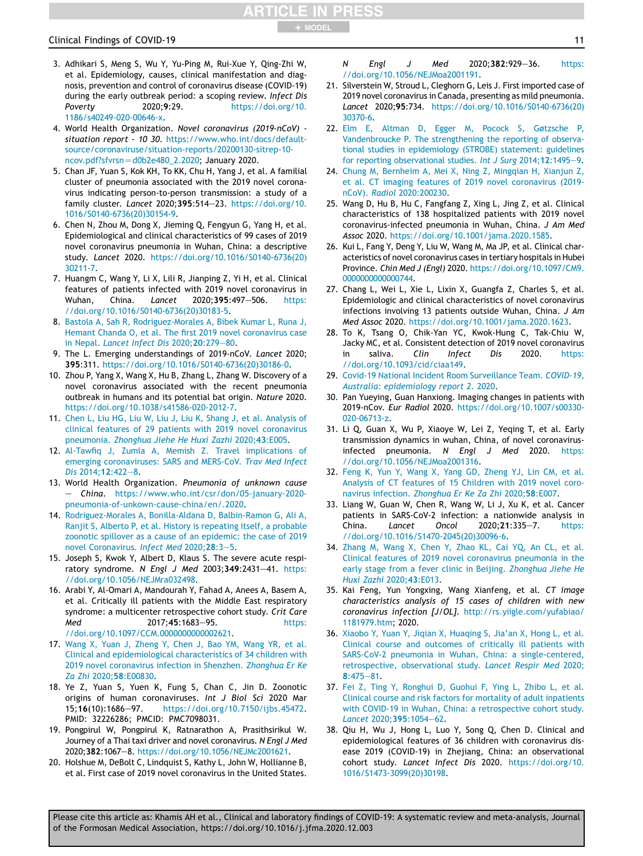## Clinical Findings of COVID-19 11

- 3. Adhikari S, Meng S, Wu Y, Yu-Ping M, Rui-Xue Y, Qing-Zhi W, et al. Epidemiology, causes, clinical manifestation and diagnosis, prevention and control of coronavirus disease (COVID-19) during the early outbreak period: a scoping review. *Infect Dis Poverty* 2020;9:29. https://doi.org/10. 1186/s40249-020-00646-x.
- 4. World Health Organization. *Novel coronavirus (2019-nCoV) situation report - 10 30*. https://www.who.int/docs/defaultsource/coronaviruse/situation-reports/20200130-sitrep-10  $ncov.pdf?sfvrsn = d0b2e480_2.2020; January 2020.$
- 5. Chan JF, Yuan S, Kok KH, To KK, Chu H, Yang J, et al. A familial cluster of pneumonia associated with the 2019 novel coronavirus indicating person-to-person transmission: a study of a family cluster. *Lancet* 2020;395:514-23. https://doi.org/10. 1016/S0140-6736(20)30154-9.
- 6. Chen N, Zhou M, Dong X, Jieming Q, Fengyun G, Yang H, et al. Epidemiological and clinical characteristics of 99 cases of 2019 novel coronavirus pneumonia in Wuhan, China: a descriptive study. *Lancet* 2020. https://doi.org/10.1016/S0140-6736(20) 30211-7.
- 7. Huangm C, Wang Y, Li X, Lili R, Jianping Z, Yi H, et al. Clinical features of patients infected with 2019 novel coronavirus in Wuhan, China. *Lancet* 2020;395:497-506. https: //doi.org/10.1016/S0140-6736(20)30183-5.
- 8. Bastola A, Sah R, Rodriguez-Morales A, Bibek Kumar L, Runa J, Hemant Chanda O, et al. The first 2019 novel coronavirus case in Nepal. *Lancet Infect Dis* 2020; 20:279-80.
- 9. The L. Emerging understandings of 2019-nCoV. *Lancet* 2020; 395:311. https://doi.org/10.1016/S0140-6736(20)30186-0.
- 10. Zhou P, Yang X, Wang X, Hu B, Zhang L, Zhang W. Discovery of a novel coronavirus associated with the recent pneumonia outbreak in humans and its potential bat origin. *Nature* 2020. https://doi.org/10.1038/s41586-020-2012-7.
- 11. Chen L, Liu HG, Liu W, Liu J, Liu K, Shang J, et al. Analysis of clinical features of 29 patients with 2019 novel coronavirus pneumonia. *Zhonghua Jiehe He Huxi Zazhi* 2020;43:E005.
- 12. Al-Tawfiq J, Zumla A, Memish Z. Travel implications of emerging coronaviruses: SARS and MERS-CoV. *Trav Med Infect* Dis 2014:12:422-8.
- 13. World Health Organization. *Pneumonia of unknown cause* e *China*. https://www.who.int/csr/don/05-january-2020 pneumonia-of-unkown-cause-china/en/.2020.
- 14. Rodriguez-Morales A, Bonilla-Aldana D, Balbin-Ramon G, Ali A, Ranjit S, Alberto P, et al. History is repeating itself, a probable zoonotic spillover as a cause of an epidemic: the case of 2019 novel Coronavirus. *Infect Med* 2020;28:3-5.
- 15. Joseph S, Kwok Y, Albert D, Klaus S. The severe acute respiratory syndrome. *N Engl J Med* 2003;349:2431-41. https: //doi.org/10.1056/NEJMra032498.
- 16. Arabi Y, Al-Omari A, Mandourah Y, Fahad A, Anees A, Basem A, et al. Critically ill patients with the Middle East respiratory syndrome: a multicenter retrospective cohort study. *Crit Care Med* 2017;45:1683-95. https: //doi.org/10.1097/CCM.0000000000002621.
- 17. Wang X, Yuan J, Zheng Y, Chen J, Bao YM, Wang YR, et al. Clinical and epidemiological characteristics of 34 children with 2019 novel coronavirus infection in Shenzhen. *Zhonghua Er Ke Za Zhi* 2020;58:E00830.
- 18. Ye Z, Yuan S, Yuen K, Fung S, Chan C, Jin D. Zoonotic origins of human coronaviruses. *Int J Biol Sci* 2020 Mar 15;16(10):1686-97. https://doi.org/10.7150/ijbs.45472. PMID: 32226286; PMCID: PMC7098031.
- 19. Pongpirul W, Pongpirul K, Ratnarathon A, Prasithsirikul W. Journey of a Thai taxi driver and novel coronavirus. *N Engl J Med* 2020;382:1067-8. https://doi.org/10.1056/NEJMc2001621.
- 20. Holshue M, DeBolt C, Lindquist S, Kathy L, John W, Hollianne B, et al. First case of 2019 novel coronavirus in the United States.

*N Engl J Med* 2020;382:929-36. https: //doi.org/10.1056/NEJMoa2001191.

- 21. Silverstein W, Stroud L, Cleghorn G, Leis J. First imported case of 2019 novel coronavirus in Canada, presenting as mild pneumonia. *Lancet* 2020;95:734. https://doi.org/10.1016/S0140-6736(20) 30370-6.
- 22. Elm E, Altman D, Egger M, Pocock S, Gøtzsche P, Vandenbroucke P. The strengthening the reporting of observational studies in epidemiology (STROBE) statement: guidelines for reporting observational studies. *Int J Surg* 2014:12:1495-9.
- 24. Chung M, Bernheim A, Mei X, Ning Z, Mingqian H, Xianjun Z, et al. CT imaging features of 2019 novel coronavirus (2019 nCoV). *Radiol* 2020:200230.
- 25. Wang D, Hu B, Hu C, Fangfang Z, Xing L, Jing Z, et al. Clinical characteristics of 138 hospitalized patients with 2019 novel coronavirus-infected pneumonia in Wuhan, China. *J Am Med Assoc* 2020. https://doi.org/10.1001/jama.2020.1585.
- 26. Kui L, Fang Y, Deng Y, Liu W, Wang M, Ma JP, et al. Clinical characteristics of novel coronavirus cases in tertiary hospitals in Hubei Province. *Chin Med J (Engl)* 2020. https://doi.org/10.1097/CM9. 0000000000000744.
- 27. Chang L, Wei L, Xie L, Lixin X, Guangfa Z, Charles S, et al. Epidemiologic and clinical characteristics of novel coronavirus infections involving 13 patients outside Wuhan, China. *J Am Med Assoc* 2020. https://doi.org/10.1001/jama.2020.1623.
- 28. To K, Tsang O, Chik-Yan YC, Kwok-Hung C, Tak-Chiu W, Jacky MC, et al. Consistent detection of 2019 novel coronavirus in saliva. *Clin Infect Dis* 2020. https: //doi.org/10.1093/cid/ciaa149.
- 29. Covid-19 National Incident Room Surveillance Team. *COVID-19, Australia: epidemiology report 2*. 2020.
- 30. Pan Yueying, Guan Hanxiong. Imaging changes in patients with 2019-nCov. *Eur Radiol* 2020. https://doi.org/10.1007/s00330- 020-06713-z.
- 31. Li Q, Guan X, Wu P, Xiaoye W, Lei Z, Yeqing T, et al. Early transmission dynamics in wuhan, China, of novel coronavirusinfected pneumonia. *N Engl J Med* 2020. https: //doi.org/10.1056/NEJMoa2001316.
- 32. Feng K, Yun Y, Wang X, Yang GD, Zheng YJ, Lin CM, et al. Analysis of CT features of 15 Children with 2019 novel coronavirus infection. *Zhonghua Er Ke Za Zhi* 2020;58:E007.
- 33. Liang W, Guan W, Chen R, Wang W, Li J, Xu K, et al. Cancer patients in SARS-CoV-2 infection: a nationwide analysis in China. *Lancet Oncol* 2020;21:335-7. https: //doi.org/10.1016/S1470-2045(20)30096-6.
- 34. Zhang M, Wang X, Chen Y, Zhao KL, Cai YQ, An CL, et al. Clinical features of 2019 novel coronavirus pneumonia in the early stage from a fever clinic in Beijing. *Zhonghua Jiehe He Huxi Zazhi* 2020;43:E013.
- 35. Kai Feng, Yun Yongxing, Wang Xianfeng, et al. *CT image characteristics analysis of 15 cases of children with new coronavirus infection [J/OL]*. http://rs.yiigle.com/yufabiao/ 1181979.htm; 2020.
- 36. Xiaobo Y, Yuan Y, Jiqian X, Huaqing S, Jia'an X, Hong L, et al. Clinical course and outcomes of critically ill patients with SARS-CoV-2 pneumonia in Wuhan, China: a single-centered, retrospective, observational study. *Lancet Respir Med* 2020;  $8:475 - 81$ .
- 37. Fei Z, Ting Y, Ronghui D, Guohui F, Ying L, Zhibo L, et al. Clinical course and risk factors for mortality of adult inpatients with COVID-19 in Wuhan, China: a retrospective cohort study. Lancet 2020:395:1054-62.
- 38. Qiu H, Wu J, Hong L, Luo Y, Song Q, Chen D. Clinical and epidemiological features of 36 children with coronavirus disease 2019 (COVID-19) in Zhejiang, China: an observational cohort study. *Lancet Infect Dis* 2020. https://doi.org/10. 1016/S1473-3099(20)30198.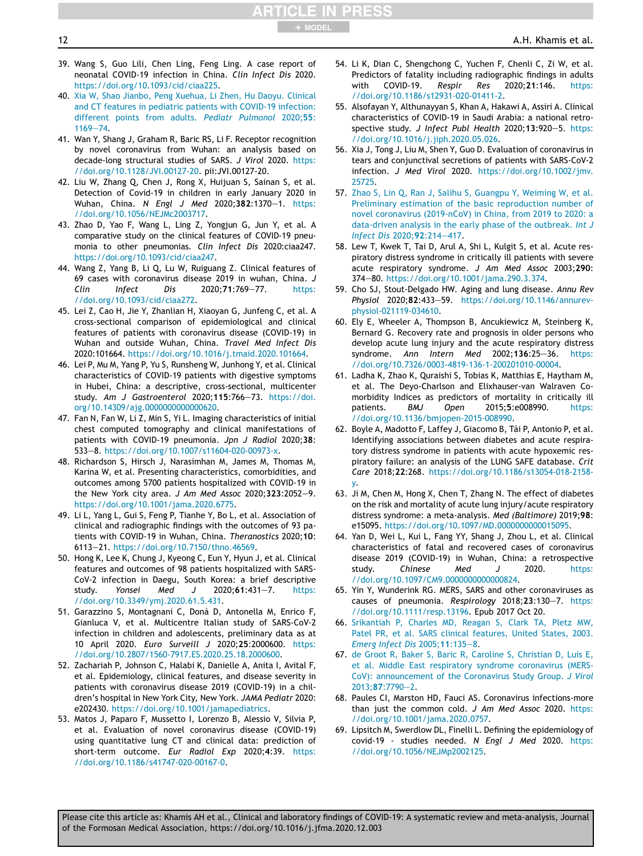39. Wang S, Guo Lili, Chen Ling, Feng Ling. A case report of neonatal COVID-19 infection in China. *Clin Infect Dis* 2020. https://doi.org/10.1093/cid/ciaa225.

+ MODEL

- 40. Xia W, Shao Jianbo, Peng Xuehua, Li Zhen, Hu Daoyu. Clinical and CT features in pediatric patients with COVID-19 infection: different points from adults. *Pediatr Pulmonol* 2020;55:  $1169 - 74.$
- 41. Wan Y, Shang J, Graham R, Baric RS, Li F. Receptor recognition by novel coronavirus from Wuhan: an analysis based on decade-long structural studies of SARS. *J Virol* 2020. https: //doi.org/10.1128/JVI.00127-20. pii:JVI.00127-20.
- 42. Liu W, Zhang Q, Chen J, Rong X, Huijuan S, Sainan S, et al. Detection of Covid-19 in children in early January 2020 in Wuhan, China. *N Engl J Med* 2020;382:1370-1. https: //doi.org/10.1056/NEJMc2003717.
- 43. Zhao D, Yao F, Wang L, Ling Z, Yongjun G, Jun Y, et al. A comparative study on the clinical features of COVID-19 pneumonia to other pneumonias. *Clin Infect Dis* 2020:ciaa247. https://doi.org/10.1093/cid/ciaa247.
- 44. Wang Z, Yang B, Li Q, Lu W, Ruiguang Z. Clinical features of 69 cases with coronavirus disease 2019 in wuhan, China. *J Clin Infect Dis* 2020;71:769-77. https: //doi.org/10.1093/cid/ciaa272.
- 45. Lei Z, Cao H, Jie Y, Zhanlian H, Xiaoyan G, Junfeng C, et al. A cross-sectional comparison of epidemiological and clinical features of patients with coronavirus disease (COVID-19) in Wuhan and outside Wuhan, China. *Travel Med Infect Dis* 2020:101664. https://doi.org/10.1016/j.tmaid.2020.101664.
- 46. Lei P, Mu M, Yang P, Yu S, Runsheng W, Junhong Y, et al. Clinical characteristics of COVID-19 patients with digestive symptoms in Hubei, China: a descriptive, cross-sectional, multicenter study. Am J Gastroenterol 2020;115:766-73. https://doi. org/10.14309/ajg.0000000000000620.
- 47. Fan N, Fan W, Li Z, Min S, Yi L. Imaging characteristics of initial chest computed tomography and clinical manifestations of patients with COVID-19 pneumonia. *Jpn J Radiol* 2020;38: 533e8. https://doi.org/10.1007/s11604-020-00973-x.
- 48. Richardson S, Hirsch J, Narasimhan M, James M, Thomas M, Karina W, et al. Presenting characteristics, comorbidities, and outcomes among 5700 patients hospitalized with COVID-19 in the New York city area. *J Am Med Assoc* 2020;323:2052-9. https://doi.org/10.1001/jama.2020.6775.
- 49. Li L, Yang L, Gui S, Feng P, Tianhe Y, Bo L, et al. Association of clinical and radiographic findings with the outcomes of 93 patients with COVID-19 in Wuhan, China. *Theranostics* 2020;10: 6113-21. https://doi.org/10.7150/thno.46569.
- 50. Hong K, Lee K, Chung J, Kyeong C, Eun Y, Hyun J, et al. Clinical features and outcomes of 98 patients hospitalized with SARS-CoV-2 infection in Daegu, South Korea: a brief descriptive study. *Yonsei Med J* 2020;61:431-7. https: //doi.org/10.3349/ymj.2020.61.5.431.
- 51. Garazzino S, Montagnani C, Donà D, Antonella M, Enrico F, Gianluca V, et al. Multicentre Italian study of SARS-CoV-2 infection in children and adolescents, preliminary data as at 10 April 2020. *Euro Surveill J* 2020;25:2000600. https: //doi.org/10.2807/1560-7917.ES.2020.25.18.2000600.
- 52. Zachariah P, Johnson C, Halabi K, Danielle A, Anita I, Avital F, et al. Epidemiology, clinical features, and disease severity in patients with coronavirus disease 2019 (COVID-19) in a children's hospital in New York City, New York. *JAMA Pediatr* 2020: e202430. https://doi.org/10.1001/jamapediatrics.
- 53. Matos J, Paparo F, Mussetto I, Lorenzo B, Alessio V, Silvia P, et al. Evaluation of novel coronavirus disease (COVID-19) using quantitative lung CT and clinical data: prediction of short-term outcome. *Eur Radiol Exp* 2020;4:39. https: //doi.org/10.1186/s41747-020-00167-0.
- 54. Li K, Dian C, Shengchong C, Yuchen F, Chenli C, Zi W, et al. Predictors of fatality including radiographic findings in adults with COVID-19. *Respir Res* 2020;21:146. https: //doi.org/10.1186/s12931-020-01411-2.
- 55. Alsofayan Y, Althunayyan S, Khan A, Hakawi A, Assiri A. Clinical characteristics of COVID-19 in Saudi Arabia: a national retrospective study. *J Infect Publ Health* 2020;13:920-5. https: //doi.org/10.1016/j.jiph.2020.05.026.
- 56. Xia J, Tong J, Liu M, Shen Y, Guo D. Evaluation of coronavirus in tears and conjunctival secretions of patients with SARS-CoV-2 infection. *J Med Virol* 2020. https://doi.org/10.1002/jmv. 25725.
- 57. Zhao S, Lin Q, Ran J, Salihu S, Guangpu Y, Weiming W, et al. Preliminary estimation of the basic reproduction number of novel coronavirus (2019-nCoV) in China, from 2019 to 2020: a data-driven analysis in the early phase of the outbreak. *Int J Infect Dis* 2020;92:214-417.
- 58. Lew T, Kwek T, Tai D, Arul A, Shi L, Kulgit S, et al. Acute respiratory distress syndrome in critically ill patients with severe acute respiratory syndrome. *J Am Med Assoc* 2003;290: 374e80. https://doi.org/10.1001/jama.290.3.374.
- 59. Cho SJ, Stout-Delgado HW. Aging and lung disease. *Annu Rev* Physiol 2020;82:433-59. https://doi.org/10.1146/annurevphysiol-021119-034610.
- 60. Ely E, Wheeler A, Thompson B, Ancukiewicz M, Steinberg K, Bernard G. Recovery rate and prognosis in older persons who develop acute lung injury and the acute respiratory distress syndrome. Ann Intern Med 2002;136:25-36. https: //doi.org/10.7326/0003-4819-136-1-200201010-00004.
- 61. Ladha K, Zhao K, Quraishi S, Tobias K, Matthias E, Haytham M, et al. The Deyo-Charlson and Elixhauser-van Walraven Comorbidity Indices as predictors of mortality in critically ill patients. *BMJ Open* 2015;5:e008990. https: //doi.org/10.1136/bmjopen-2015-008990.
- 62. Boyle A, Madotto F, Laffey J, Giacomo B, Tài P, Antonio P, et al. Identifying associations between diabetes and acute respiratory distress syndrome in patients with acute hypoxemic respiratory failure: an analysis of the LUNG SAFE database. *Crit Care* 2018;22:268. https://doi.org/10.1186/s13054-018-2158 y.
- 63. Ji M, Chen M, Hong X, Chen T, Zhang N. The effect of diabetes on the risk and mortality of acute lung injury/acute respiratory distress syndrome: a meta-analysis. *Med (Baltimore)* 2019;98: e15095. https://doi.org/10.1097/MD.0000000000015095.
- 64. Yan D, Wei L, Kui L, Fang YY, Shang J, Zhou L, et al. Clinical characteristics of fatal and recovered cases of coronavirus disease 2019 (COVID-19) in Wuhan, China: a retrospective study. *Chinese Med J* 2020. https: //doi.org/10.1097/CM9.0000000000000824.
- 65. Yin Y, Wunderink RG. MERS, SARS and other coronaviruses as causes of pneumonia. Respirology 2018;23:130-7. https: //doi.org/10.1111/resp.13196. Epub 2017 Oct 20.
- 66. Srikantiah P, Charles MD, Reagan S, Clark TA, Pletz MW, Patel PR, et al. SARS clinical features, United States, 2003. *Emerg Infect Dis* 2005;11:135-8.
- 67. de Groot R, Baker S, Baric R, Caroline S, Christian D, Luis E, et al. Middle East respiratory syndrome coronavirus (MERS-CoV): announcement of the Coronavirus Study Group. *J Virol*  $2013:87:7790 - 2$ .
- 68. Paules CI, Marston HD, Fauci AS. Coronavirus infections-more than just the common cold. *J Am Med Assoc* 2020. https: //doi.org/10.1001/jama.2020.0757.
- 69. Lipsitch M, Swerdlow DL, Finelli L. Defining the epidemiology of covid-19 - studies needed. *N Engl J Med* 2020. https: //doi.org/10.1056/NEJMp2002125.